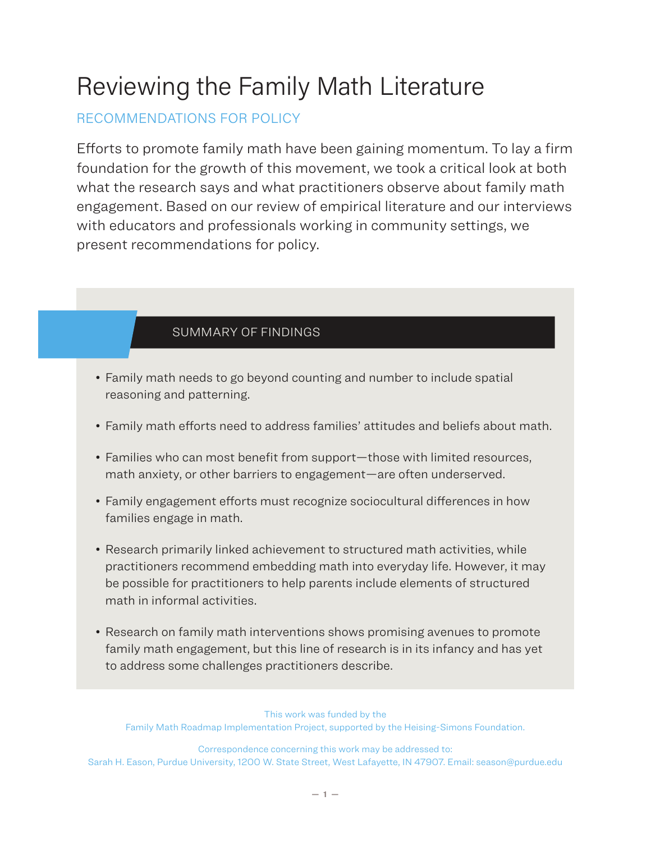# Reviewing the Family Math Literature

# RECOMMENDATIONS FOR POLICY

Efforts to promote family math have been gaining momentum. To lay a firm foundation for the growth of this movement, we took a critical look at both what the research says and what practitioners observe about family math engagement. Based on our review of empirical literature and our interviews with educators and professionals working in community settings, we present recommendations for policy.

## SUMMARY OF FINDINGS

- Family math needs to go beyond counting and number to include spatial reasoning and patterning.
- Family math efforts need to address families' attitudes and beliefs about math.
- Families who can most benefit from support—those with limited resources, math anxiety, or other barriers to engagement—are often underserved.
- Family engagement efforts must recognize sociocultural differences in how families engage in math.
- Research primarily linked achievement to structured math activities, while practitioners recommend embedding math into everyday life. However, it may be possible for practitioners to help parents include elements of structured math in informal activities.
- Research on family math interventions shows promising avenues to promote family math engagement, but this line of research is in its infancy and has yet to address some challenges practitioners describe.

This work was funded by the Family Math Roadmap Implementation Project, supported by the Heising-Simons Foundation.

Correspondence concerning this work may be addressed to: Sarah H. Eason, Purdue University, 1200 W. State Street, West Lafayette, IN 47907. Email: season@purdue.edu